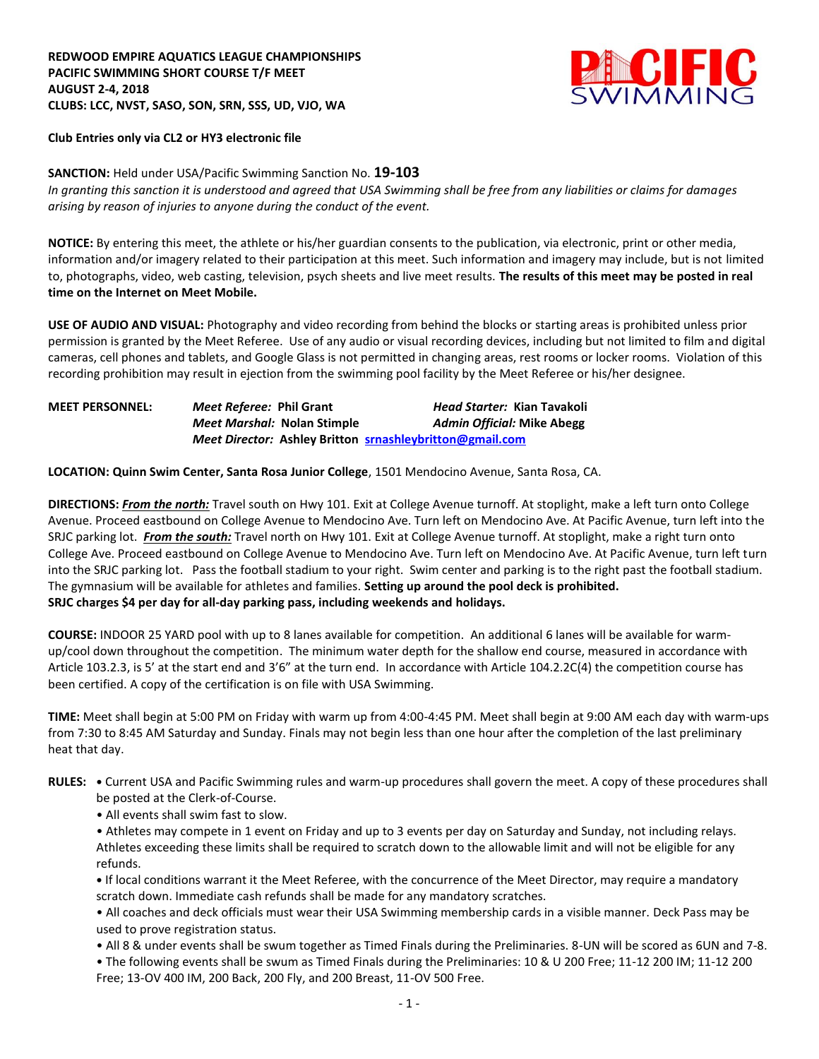## **REDWOOD EMPIRE AQUATICS LEAGUE CHAMPIONSHIPS PACIFIC SWIMMING SHORT COURSE T/F MEET AUGUST 2-4, 2018 CLUBS: LCC, NVST, SASO, SON, SRN, SSS, UD, VJO, WA**



## **Club Entries only via CL2 or HY3 electronic file**

## **SANCTION:** Held under USA/Pacific Swimming Sanction No. **19-103**

*In granting this sanction it is understood and agreed that USA Swimming shall be free from any liabilities or claims for damages arising by reason of injuries to anyone during the conduct of the event.*

**NOTICE:** By entering this meet, the athlete or his/her guardian consents to the publication, via electronic, print or other media, information and/or imagery related to their participation at this meet. Such information and imagery may include, but is not limited to, photographs, video, web casting, television, psych sheets and live meet results. **The results of this meet may be posted in real time on the Internet on Meet Mobile.**

**USE OF AUDIO AND VISUAL:** Photography and video recording from behind the blocks or starting areas is prohibited unless prior permission is granted by the Meet Referee. Use of any audio or visual recording devices, including but not limited to film and digital cameras, cell phones and tablets, and Google Glass is not permitted in changing areas, rest rooms or locker rooms. Violation of this recording prohibition may result in ejection from the swimming pool facility by the Meet Referee or his/her designee.

| <b>MEET PERSONNEL:</b> | Meet Referee: Phil Grant           | <i>Head Starter: Kian Tavakoli</i>                       |
|------------------------|------------------------------------|----------------------------------------------------------|
|                        | <i>Meet Marshal:</i> Nolan Stimple | <b>Admin Official: Mike Abegg</b>                        |
|                        |                                    | Meet Director: Ashley Britton srnashleybritton@gmail.com |

**LOCATION: Quinn Swim Center, Santa Rosa Junior College**, 1501 Mendocino Avenue, Santa Rosa, CA.

**DIRECTIONS:** *From the north:* Travel south on Hwy 101. Exit at College Avenue turnoff. At stoplight, make a left turn onto College Avenue. Proceed eastbound on College Avenue to Mendocino Ave. Turn left on Mendocino Ave. At Pacific Avenue, turn left into the SRJC parking lot. *From the south:* Travel north on Hwy 101. Exit at College Avenue turnoff. At stoplight, make a right turn onto College Ave. Proceed eastbound on College Avenue to Mendocino Ave. Turn left on Mendocino Ave. At Pacific Avenue, turn left turn into the SRJC parking lot. Pass the football stadium to your right. Swim center and parking is to the right past the football stadium. The gymnasium will be available for athletes and families. **Setting up around the pool deck is prohibited. SRJC charges \$4 per day for all-day parking pass, including weekends and holidays.** 

**COURSE:** INDOOR 25 YARD pool with up to 8 lanes available for competition. An additional 6 lanes will be available for warmup/cool down throughout the competition. The minimum water depth for the shallow end course, measured in accordance with Article 103.2.3, is 5' at the start end and 3'6" at the turn end. In accordance with Article 104.2.2C(4) the competition course has been certified. A copy of the certification is on file with USA Swimming.

**TIME:** Meet shall begin at 5:00 PM on Friday with warm up from 4:00-4:45 PM. Meet shall begin at 9:00 AM each day with warm-ups from 7:30 to 8:45 AM Saturday and Sunday. Finals may not begin less than one hour after the completion of the last preliminary heat that day.

- **RULES: •** Current USA and Pacific Swimming rules and warm-up procedures shall govern the meet. A copy of these procedures shall be posted at the Clerk-of-Course.
	- All events shall swim fast to slow.

• Athletes may compete in 1 event on Friday and up to 3 events per day on Saturday and Sunday, not including relays. Athletes exceeding these limits shall be required to scratch down to the allowable limit and will not be eligible for any refunds.

**•** If local conditions warrant it the Meet Referee, with the concurrence of the Meet Director, may require a mandatory scratch down. Immediate cash refunds shall be made for any mandatory scratches.

• All coaches and deck officials must wear their USA Swimming membership cards in a visible manner. Deck Pass may be used to prove registration status.

- All 8 & under events shall be swum together as Timed Finals during the Preliminaries. 8-UN will be scored as 6UN and 7-8.
- The following events shall be swum as Timed Finals during the Preliminaries: 10 & U 200 Free; 11-12 200 IM; 11-12 200 Free; 13-OV 400 IM, 200 Back, 200 Fly, and 200 Breast, 11-OV 500 Free.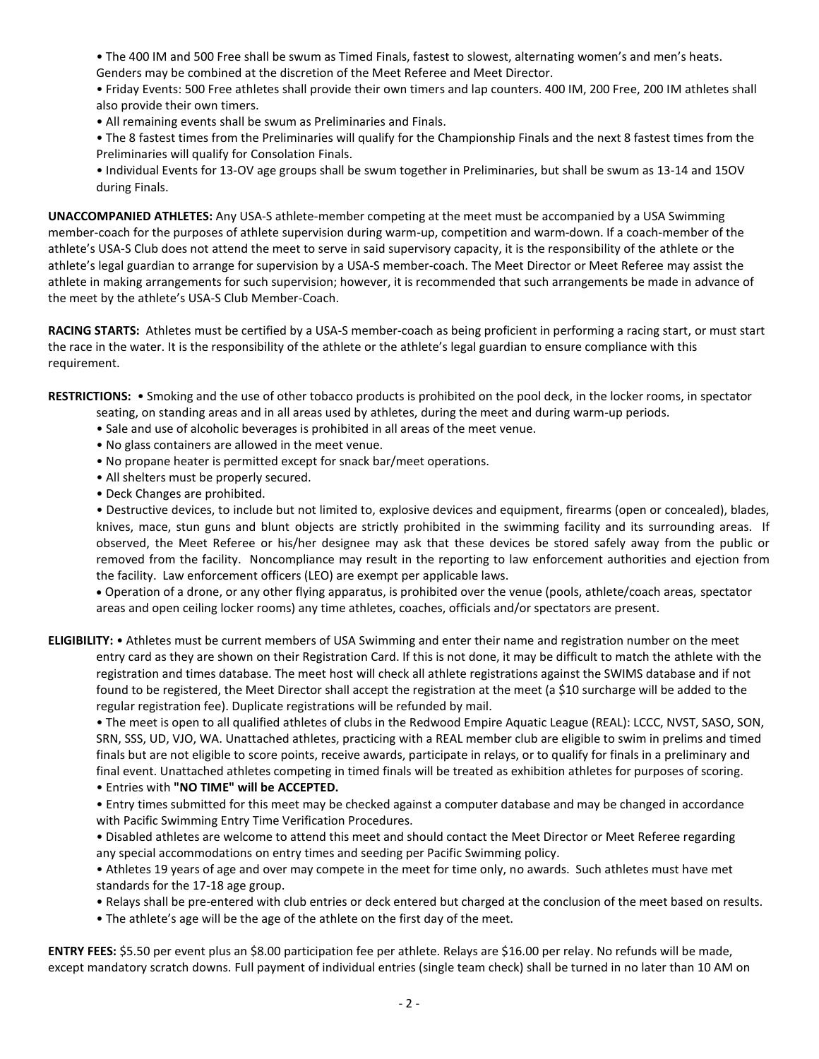- The 400 IM and 500 Free shall be swum as Timed Finals, fastest to slowest, alternating women's and men's heats. Genders may be combined at the discretion of the Meet Referee and Meet Director.
- Friday Events: 500 Free athletes shall provide their own timers and lap counters. 400 IM, 200 Free, 200 IM athletes shall also provide their own timers.
- All remaining events shall be swum as Preliminaries and Finals.
- The 8 fastest times from the Preliminaries will qualify for the Championship Finals and the next 8 fastest times from the Preliminaries will qualify for Consolation Finals.
- Individual Events for 13-OV age groups shall be swum together in Preliminaries, but shall be swum as 13-14 and 15OV during Finals.

**UNACCOMPANIED ATHLETES:** Any USA-S athlete-member competing at the meet must be accompanied by a USA Swimming member-coach for the purposes of athlete supervision during warm-up, competition and warm-down. If a coach-member of the athlete's USA-S Club does not attend the meet to serve in said supervisory capacity, it is the responsibility of the athlete or the athlete's legal guardian to arrange for supervision by a USA-S member-coach. The Meet Director or Meet Referee may assist the athlete in making arrangements for such supervision; however, it is recommended that such arrangements be made in advance of the meet by the athlete's USA-S Club Member-Coach.

**RACING STARTS:** Athletes must be certified by a USA-S member-coach as being proficient in performing a racing start, or must start the race in the water. It is the responsibility of the athlete or the athlete's legal guardian to ensure compliance with this requirement.

**RESTRICTIONS:** • Smoking and the use of other tobacco products is prohibited on the pool deck, in the locker rooms, in spectator

- seating, on standing areas and in all areas used by athletes, during the meet and during warm-up periods.
- Sale and use of alcoholic beverages is prohibited in all areas of the meet venue.
- No glass containers are allowed in the meet venue.
- No propane heater is permitted except for snack bar/meet operations.
- All shelters must be properly secured.
- Deck Changes are prohibited.

• Destructive devices, to include but not limited to, explosive devices and equipment, firearms (open or concealed), blades, knives, mace, stun guns and blunt objects are strictly prohibited in the swimming facility and its surrounding areas. If observed, the Meet Referee or his/her designee may ask that these devices be stored safely away from the public or removed from the facility. Noncompliance may result in the reporting to law enforcement authorities and ejection from the facility. Law enforcement officers (LEO) are exempt per applicable laws.

 Operation of a drone, or any other flying apparatus, is prohibited over the venue (pools, athlete/coach areas, spectator areas and open ceiling locker rooms) any time athletes, coaches, officials and/or spectators are present.

**ELIGIBILITY:** • Athletes must be current members of USA Swimming and enter their name and registration number on the meet entry card as they are shown on their Registration Card. If this is not done, it may be difficult to match the athlete with the registration and times database. The meet host will check all athlete registrations against the SWIMS database and if not found to be registered, the Meet Director shall accept the registration at the meet (a \$10 surcharge will be added to the regular registration fee). Duplicate registrations will be refunded by mail.

• The meet is open to all qualified athletes of clubs in the Redwood Empire Aquatic League (REAL): LCCC, NVST, SASO, SON, SRN, SSS, UD, VJO, WA. Unattached athletes, practicing with a REAL member club are eligible to swim in prelims and timed finals but are not eligible to score points, receive awards, participate in relays, or to qualify for finals in a preliminary and final event. Unattached athletes competing in timed finals will be treated as exhibition athletes for purposes of scoring.

• Entries with **"NO TIME" will be ACCEPTED.**

• Entry times submitted for this meet may be checked against a computer database and may be changed in accordance with Pacific Swimming Entry Time Verification Procedures.

• Disabled athletes are welcome to attend this meet and should contact the Meet Director or Meet Referee regarding any special accommodations on entry times and seeding per Pacific Swimming policy.

• Athletes 19 years of age and over may compete in the meet for time only, no awards. Such athletes must have met standards for the 17-18 age group.

- Relays shall be pre-entered with club entries or deck entered but charged at the conclusion of the meet based on results.
- The athlete's age will be the age of the athlete on the first day of the meet.

**ENTRY FEES:** \$5.50 per event plus an \$8.00 participation fee per athlete. Relays are \$16.00 per relay. No refunds will be made, except mandatory scratch downs. Full payment of individual entries (single team check) shall be turned in no later than 10 AM on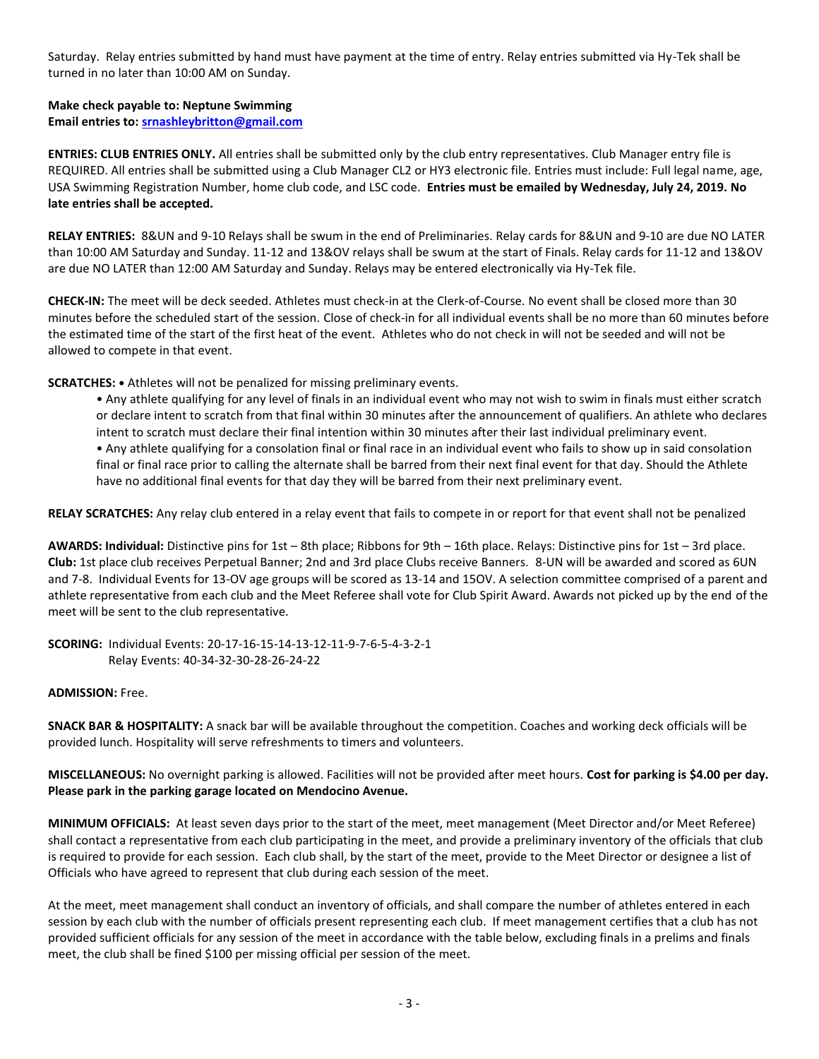Saturday. Relay entries submitted by hand must have payment at the time of entry. Relay entries submitted via Hy-Tek shall be turned in no later than 10:00 AM on Sunday.

### **Make check payable to: Neptune Swimming**

**Email entries to: [srnashleybritton@gmail.com](mailto:srnashleybritton@gmail.com)**

**ENTRIES: CLUB ENTRIES ONLY.** All entries shall be submitted only by the club entry representatives. Club Manager entry file is REQUIRED. All entries shall be submitted using a Club Manager CL2 or HY3 electronic file. Entries must include: Full legal name, age, USA Swimming Registration Number, home club code, and LSC code. **Entries must be emailed by Wednesday, July 24, 2019. No late entries shall be accepted.**

**RELAY ENTRIES:** 8&UN and 9-10 Relays shall be swum in the end of Preliminaries. Relay cards for 8&UN and 9-10 are due NO LATER than 10:00 AM Saturday and Sunday. 11-12 and 13&OV relays shall be swum at the start of Finals. Relay cards for 11-12 and 13&OV are due NO LATER than 12:00 AM Saturday and Sunday. Relays may be entered electronically via Hy-Tek file.

**CHECK-IN:** The meet will be deck seeded. Athletes must check-in at the Clerk-of-Course. No event shall be closed more than 30 minutes before the scheduled start of the session. Close of check-in for all individual events shall be no more than 60 minutes before the estimated time of the start of the first heat of the event. Athletes who do not check in will not be seeded and will not be allowed to compete in that event.

**SCRATCHES: •** Athletes will not be penalized for missing preliminary events.

• Any athlete qualifying for any level of finals in an individual event who may not wish to swim in finals must either scratch or declare intent to scratch from that final within 30 minutes after the announcement of qualifiers. An athlete who declares intent to scratch must declare their final intention within 30 minutes after their last individual preliminary event. • Any athlete qualifying for a consolation final or final race in an individual event who fails to show up in said consolation final or final race prior to calling the alternate shall be barred from their next final event for that day. Should the Athlete have no additional final events for that day they will be barred from their next preliminary event.

**RELAY SCRATCHES:** Any relay club entered in a relay event that fails to compete in or report for that event shall not be penalized

**AWARDS: Individual:** Distinctive pins for 1st – 8th place; Ribbons for 9th – 16th place. Relays: Distinctive pins for 1st – 3rd place. **Club:** 1st place club receives Perpetual Banner; 2nd and 3rd place Clubs receive Banners. 8-UN will be awarded and scored as 6UN and 7-8. Individual Events for 13-OV age groups will be scored as 13-14 and 15OV. A selection committee comprised of a parent and athlete representative from each club and the Meet Referee shall vote for Club Spirit Award. Awards not picked up by the end of the meet will be sent to the club representative.

**SCORING:** Individual Events: 20-17-16-15-14-13-12-11-9-7-6-5-4-3-2-1 Relay Events: 40-34-32-30-28-26-24-22

#### **ADMISSION:** Free.

**SNACK BAR & HOSPITALITY:** A snack bar will be available throughout the competition. Coaches and working deck officials will be provided lunch. Hospitality will serve refreshments to timers and volunteers.

**MISCELLANEOUS:** No overnight parking is allowed. Facilities will not be provided after meet hours. **Cost for parking is \$4.00 per day. Please park in the parking garage located on Mendocino Avenue.** 

**MINIMUM OFFICIALS:** At least seven days prior to the start of the meet, meet management (Meet Director and/or Meet Referee) shall contact a representative from each club participating in the meet, and provide a preliminary inventory of the officials that club is required to provide for each session. Each club shall, by the start of the meet, provide to the Meet Director or designee a list of Officials who have agreed to represent that club during each session of the meet.

At the meet, meet management shall conduct an inventory of officials, and shall compare the number of athletes entered in each session by each club with the number of officials present representing each club. If meet management certifies that a club has not provided sufficient officials for any session of the meet in accordance with the table below, excluding finals in a prelims and finals meet, the club shall be fined \$100 per missing official per session of the meet.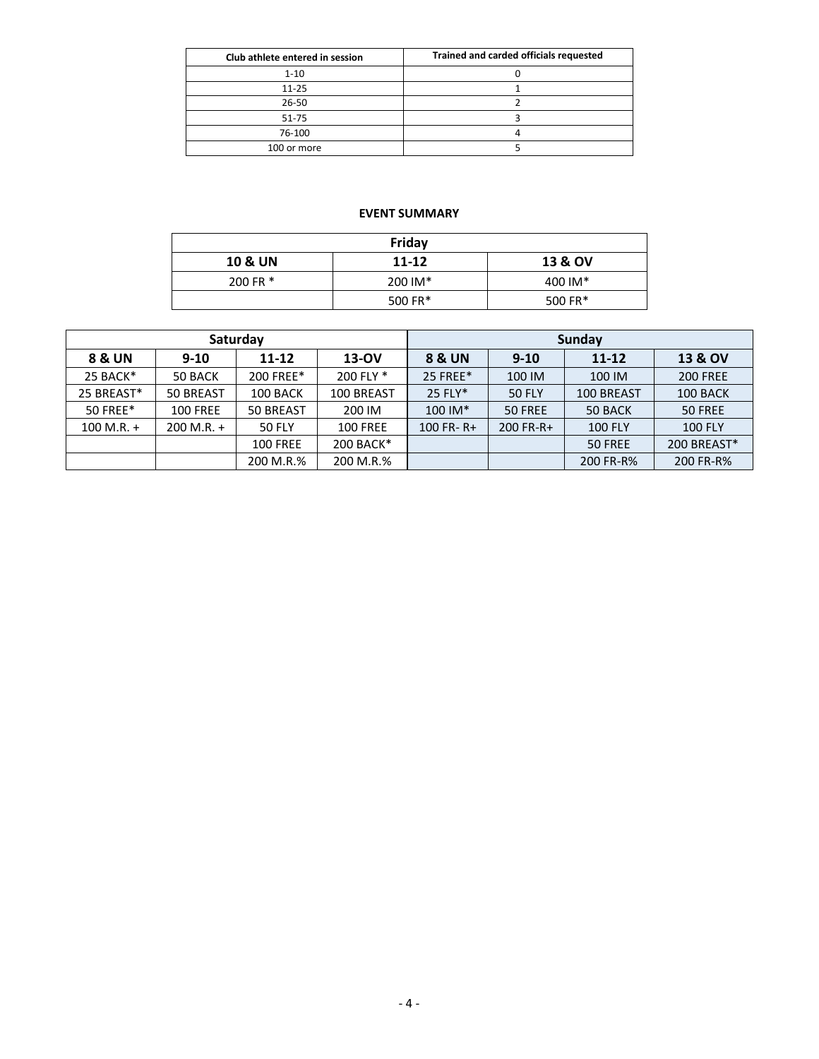| Club athlete entered in session | Trained and carded officials requested |
|---------------------------------|----------------------------------------|
| $1 - 10$                        |                                        |
| $11 - 25$                       |                                        |
| 26-50                           |                                        |
| 51-75                           |                                        |
| 76-100                          |                                        |
| 100 or more                     |                                        |
|                                 |                                        |

# **EVENT SUMMARY**

| Friday             |           |                    |  |  |  |  |  |
|--------------------|-----------|--------------------|--|--|--|--|--|
| <b>10 &amp; UN</b> | $11 - 12$ | <b>13 &amp; OV</b> |  |  |  |  |  |
| 200 FR *           | 200 IM*   | 400 IM*            |  |  |  |  |  |
|                    | 500 FR*   | 500 FR*            |  |  |  |  |  |

|                   |                 | Saturday        |                 | Sunday            |               |                |                    |  |
|-------------------|-----------------|-----------------|-----------------|-------------------|---------------|----------------|--------------------|--|
| <b>8 &amp; UN</b> | $9 - 10$        | $11 - 12$       | $13-OV$         | <b>8 &amp; UN</b> | $9-10$        | 11-12          | <b>13 &amp; OV</b> |  |
| 25 BACK*          | 50 BACK         | 200 FREE*       | 200 FLY *       | 25 FREE*          | 100 IM        | 100 IM         | <b>200 FREE</b>    |  |
| 25 BREAST*        | 50 BREAST       | 100 BACK        | 100 BREAST      | 25 FLY*           | <b>50 FLY</b> | 100 BREAST     | 100 BACK           |  |
| 50 FREE*          | <b>100 FREE</b> | 50 BREAST       | 200 IM          | $100$ IM*         | 50 FREE       | 50 BACK        | 50 FREE            |  |
| $100 M.R. +$      | $200$ M.R. +    | <b>50 FLY</b>   | <b>100 FREE</b> | $100$ FR-R+       | 200 FR-R+     | <b>100 FLY</b> | <b>100 FLY</b>     |  |
|                   |                 | <b>100 FREE</b> | 200 BACK*       |                   |               | 50 FREE        | 200 BREAST*        |  |
|                   |                 | 200 M.R.%       | 200 M.R.%       |                   |               | 200 FR-R%      | 200 FR-R%          |  |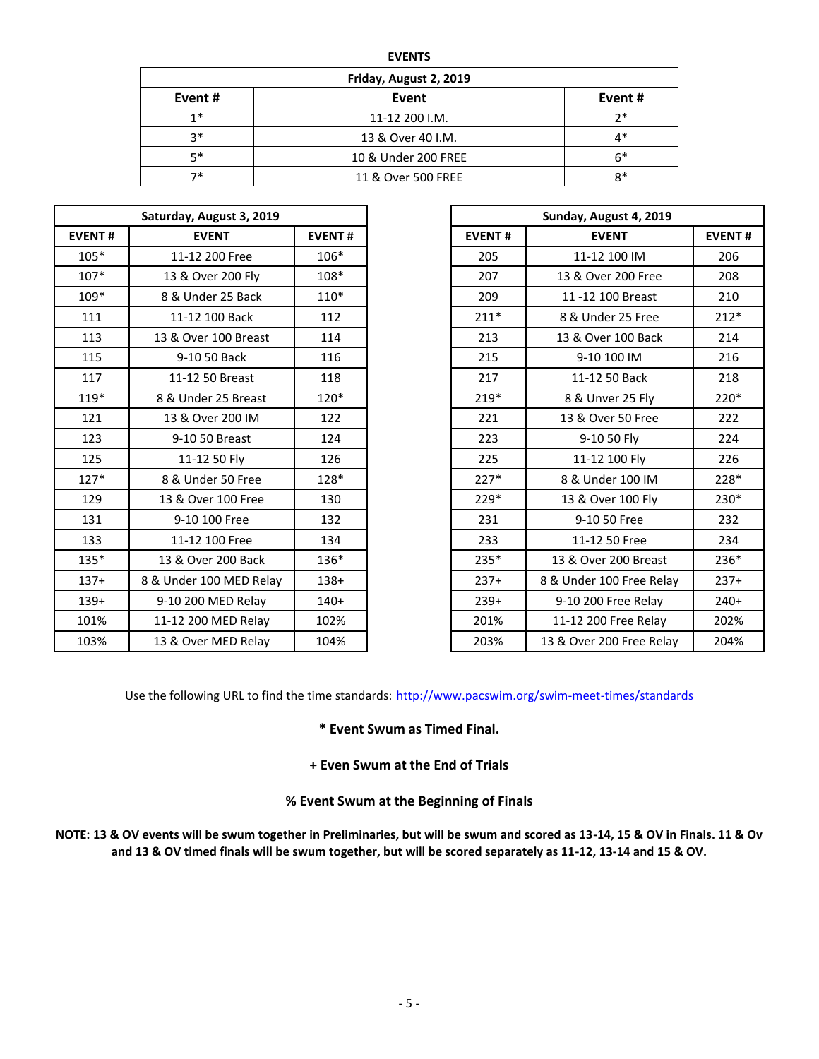| м |
|---|
|---|

| Friday, August 2, 2019 |                     |         |  |  |  |  |  |  |
|------------------------|---------------------|---------|--|--|--|--|--|--|
| Event #                | Event               | Event # |  |  |  |  |  |  |
| $1*$                   | 11-12 200 J.M.      | ን*      |  |  |  |  |  |  |
| $3*$                   | 13 & Over 40 I.M.   | 4*      |  |  |  |  |  |  |
| $5*$                   | 10 & Under 200 FREE | $6*$    |  |  |  |  |  |  |
| 7*                     | 11 & Over 500 FREE  | $8*$    |  |  |  |  |  |  |

|               | Saturday, August 3, 2019 |               |               | Sunday, August 4, 2019   |             |
|---------------|--------------------------|---------------|---------------|--------------------------|-------------|
| <b>EVENT#</b> | <b>EVENT</b>             | <b>EVENT#</b> | <b>EVENT#</b> | <b>EVENT</b>             | <b>EVEN</b> |
| $105*$        | 11-12 200 Free           | 106*          | 205           | 11-12 100 IM             |             |
| $107*$        | 13 & Over 200 Fly        | 108*          | 207           | 13 & Over 200 Free       |             |
| 109*          | 8 & Under 25 Back        | $110*$        | 209           | 11 -12 100 Breast        |             |
| 111           | 11-12 100 Back           | 112           | $211*$        | 8 & Under 25 Free        |             |
| 113           | 13 & Over 100 Breast     | 114           | 213           | 13 & Over 100 Back       |             |
| 115           | 9-10 50 Back             | 116           | 215           | 9-10 100 IM              |             |
| 117           | 11-12 50 Breast          | 118           | 217           | 11-12 50 Back            |             |
| 119*          | 8 & Under 25 Breast      | $120*$        | $219*$        | 8 & Unver 25 Fly         |             |
| 121           | 13 & Over 200 IM         | 122           | 221           | 13 & Over 50 Free        |             |
| 123           | 9-10 50 Breast           | 124           | 223           | 9-10 50 Fly              |             |
| 125           | 11-12 50 Fly             | 126           | 225           | 11-12 100 Fly            |             |
| $127*$        | 8 & Under 50 Free        | $128*$        | $227*$        | 8 & Under 100 IM         |             |
| 129           | 13 & Over 100 Free       | 130           | 229*          | 13 & Over 100 Fly        |             |
| 131           | 9-10 100 Free            | 132           | 231           | 9-10 50 Free             |             |
| 133           | 11-12 100 Free           | 134           | 233           | 11-12 50 Free            |             |
| 135*          | 13 & Over 200 Back       | $136*$        | $235*$        | 13 & Over 200 Breast     |             |
| $137+$        | 8 & Under 100 MED Relay  | $138+$        | $237+$        | 8 & Under 100 Free Relay |             |
| $139+$        | 9-10 200 MED Relay       | $140+$        | $239+$        | 9-10 200 Free Relay      |             |
| 101%          | 11-12 200 MED Relay      | 102%          | 201%          | 11-12 200 Free Relay     |             |
| 103%          | 13 & Over MED Relav      | 104%          | 203%          | 13 & Over 200 Free Relay |             |

|               | Saturday, August 3, 2019 |               | Sunday, August 4, 2019   |                          |               |
|---------------|--------------------------|---------------|--------------------------|--------------------------|---------------|
| <b>EVENT#</b> | <b>EVENT</b>             | <b>EVENT#</b> | <b>EVENT#</b>            | <b>EVENT</b>             | <b>EVENT#</b> |
| $105*$        | 11-12 200 Free           | 106*          | 205                      | 11-12 100 IM             | 206           |
| $107*$        | 13 & Over 200 Fly        | 108*          | 207                      | 13 & Over 200 Free       | 208           |
| 109*          | 8 & Under 25 Back        | $110*$        | 209                      | 11-12 100 Breast         | 210           |
| 111           | 11-12 100 Back           | 112           | $211*$                   | 8 & Under 25 Free        | $212*$        |
| 113           | 13 & Over 100 Breast     | 114           | 213                      | 13 & Over 100 Back       | 214           |
| 115           | 9-10 50 Back             | 116           | 215                      | 9-10 100 IM              | 216           |
| 117           | 11-12 50 Breast          | 118           | 217                      | 11-12 50 Back            | 218           |
| $119*$        | 8 & Under 25 Breast      | $120*$        | $219*$                   | 8 & Unver 25 Fly         | $220*$        |
| 121           | 13 & Over 200 IM         | 122           | 221<br>13 & Over 50 Free |                          | 222           |
| 123           | 9-10 50 Breast           | 124           | 9-10 50 Fly<br>223       |                          | 224           |
| 125           | 11-12 50 Fly             | 126           | 225                      | 11-12 100 Fly            | 226           |
| $127*$        | 8 & Under 50 Free        | 128*          | $227*$                   | 8 & Under 100 IM         | 228*          |
| 129           | 13 & Over 100 Free       | 130           | $229*$                   | 13 & Over 100 Fly        | 230*          |
| 131           | 9-10 100 Free            | 132           | 231                      | 9-10 50 Free             | 232           |
| 133           | 11-12 100 Free           | 134           | 233                      | 11-12 50 Free            | 234           |
| 135*          | 13 & Over 200 Back       | 136*          | 235*                     | 13 & Over 200 Breast     | 236*          |
| $137+$        | 8 & Under 100 MED Relay  | $138+$        | $237+$                   | 8 & Under 100 Free Relay | $237+$        |
| $139+$        | 9-10 200 MED Relay       | $140+$        | $239+$                   | 9-10 200 Free Relay      | $240+$        |
| 101%          | 11-12 200 MED Relay      | 102%          | 201%                     | 11-12 200 Free Relay     | 202%          |
| 103%          | 13 & Over MED Relay      | 104%          | 203%                     | 13 & Over 200 Free Relay | 204%          |

Use the following URL to find the time standards: <http://www.pacswim.org/swim-meet-times/standards>

**\* Event Swum as Timed Final.**

**+ Even Swum at the End of Trials**

**% Event Swum at the Beginning of Finals**

**NOTE: 13 & OV events will be swum together in Preliminaries, but will be swum and scored as 13-14, 15 & OV in Finals. 11 & Ov and 13 & OV timed finals will be swum together, but will be scored separately as 11-12, 13-14 and 15 & OV.**